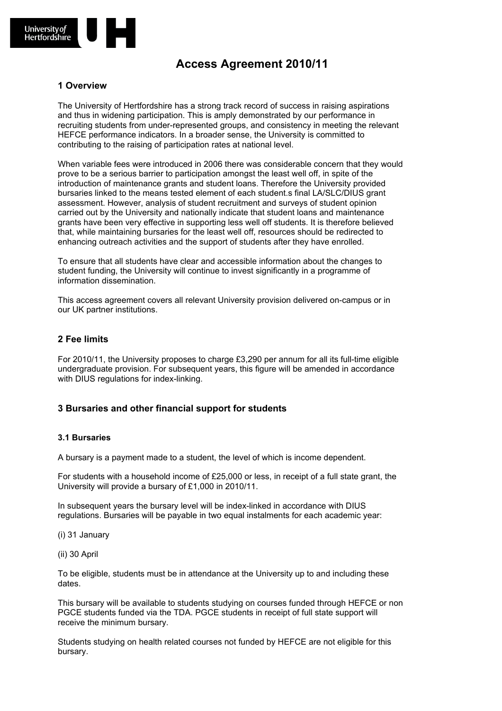

# **Access Agreement 2010/11**

### **1 Overview**

The University of Hertfordshire has a strong track record of success in raising aspirations and thus in widening participation. This is amply demonstrated by our performance in recruiting students from under-represented groups, and consistency in meeting the relevant HEFCE performance indicators. In a broader sense, the University is committed to contributing to the raising of participation rates at national level.

When variable fees were introduced in 2006 there was considerable concern that they would prove to be a serious barrier to participation amongst the least well off, in spite of the introduction of maintenance grants and student loans. Therefore the University provided bursaries linked to the means tested element of each student.s final LA/SLC/DIUS grant assessment. However, analysis of student recruitment and surveys of student opinion carried out by the University and nationally indicate that student loans and maintenance grants have been very effective in supporting less well off students. It is therefore believed that, while maintaining bursaries for the least well off, resources should be redirected to enhancing outreach activities and the support of students after they have enrolled.

To ensure that all students have clear and accessible information about the changes to student funding, the University will continue to invest significantly in a programme of information dissemination.

This access agreement covers all relevant University provision delivered on-campus or in our UK partner institutions.

#### **2 Fee limits**

For 2010/11, the University proposes to charge £3,290 per annum for all its full-time eligible undergraduate provision. For subsequent years, this figure will be amended in accordance with DIUS regulations for index-linking.

### **3 Bursaries and other financial support for students**

#### **3.1 Bursaries**

A bursary is a payment made to a student, the level of which is income dependent.

For students with a household income of £25,000 or less, in receipt of a full state grant, the University will provide a bursary of £1,000 in 2010/11.

In subsequent years the bursary level will be index-linked in accordance with DIUS regulations. Bursaries will be payable in two equal instalments for each academic year:

(i) 31 January

(ii) 30 April

To be eligible, students must be in attendance at the University up to and including these dates.

This bursary will be available to students studying on courses funded through HEFCE or non PGCE students funded via the TDA. PGCE students in receipt of full state support will receive the minimum bursary.

Students studying on health related courses not funded by HEFCE are not eligible for this bursary.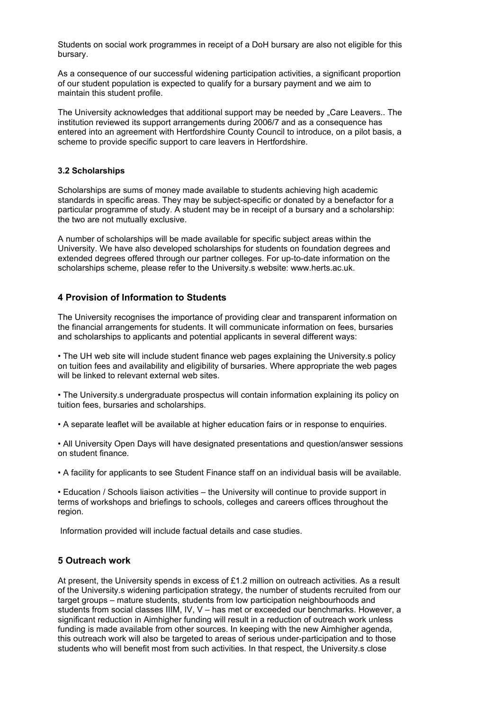Students on social work programmes in receipt of a DoH bursary are also not eligible for this bursary.

As a consequence of our successful widening participation activities, a significant proportion of our student population is expected to qualify for a bursary payment and we aim to maintain this student profile.

The University acknowledges that additional support may be needed by "Care Leavers.. The institution reviewed its support arrangements during 2006/7 and as a consequence has entered into an agreement with Hertfordshire County Council to introduce, on a pilot basis, a scheme to provide specific support to care leavers in Hertfordshire.

#### **3.2 Scholarships**

Scholarships are sums of money made available to students achieving high academic standards in specific areas. They may be subject-specific or donated by a benefactor for a particular programme of study. A student may be in receipt of a bursary and a scholarship: the two are not mutually exclusive.

A number of scholarships will be made available for specific subject areas within the University. We have also developed scholarships for students on foundation degrees and extended degrees offered through our partner colleges. For up-to-date information on the scholarships scheme, please refer to the University.s website: www.herts.ac.uk.

### **4 Provision of Information to Students**

The University recognises the importance of providing clear and transparent information on the financial arrangements for students. It will communicate information on fees, bursaries and scholarships to applicants and potential applicants in several different ways:

• The UH web site will include student finance web pages explaining the University.s policy on tuition fees and availability and eligibility of bursaries. Where appropriate the web pages will be linked to relevant external web sites.

• The University.s undergraduate prospectus will contain information explaining its policy on tuition fees, bursaries and scholarships.

• A separate leaflet will be available at higher education fairs or in response to enquiries.

• All University Open Days will have designated presentations and question/answer sessions on student finance.

• A facility for applicants to see Student Finance staff on an individual basis will be available.

• Education / Schools liaison activities – the University will continue to provide support in terms of workshops and briefings to schools, colleges and careers offices throughout the region.

Information provided will include factual details and case studies.

## **5 Outreach work**

At present, the University spends in excess of £1.2 million on outreach activities. As a result of the University.s widening participation strategy, the number of students recruited from our target groups – mature students, students from low participation neighbourhoods and students from social classes IIIM, IV, V – has met or exceeded our benchmarks. However, a significant reduction in Aimhigher funding will result in a reduction of outreach work unless funding is made available from other sources. In keeping with the new Aimhigher agenda, this outreach work will also be targeted to areas of serious under-participation and to those students who will benefit most from such activities. In that respect, the University.s close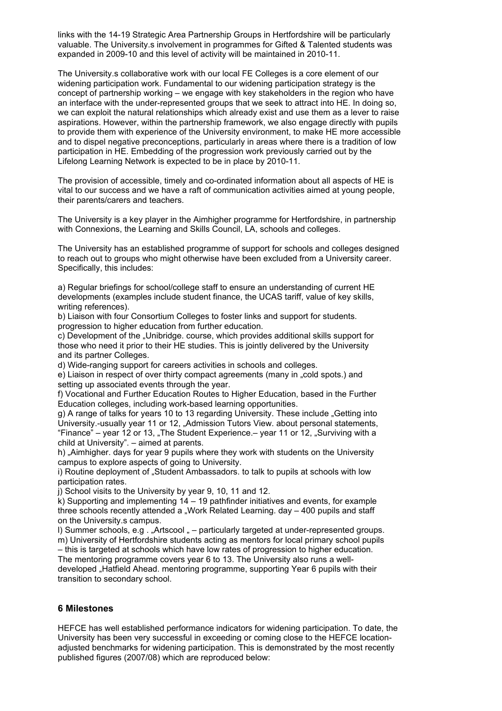links with the 14-19 Strategic Area Partnership Groups in Hertfordshire will be particularly valuable. The University.s involvement in programmes for Gifted & Talented students was expanded in 2009-10 and this level of activity will be maintained in 2010-11.

The University.s collaborative work with our local FE Colleges is a core element of our widening participation work. Fundamental to our widening participation strategy is the concept of partnership working – we engage with key stakeholders in the region who have an interface with the under-represented groups that we seek to attract into HE. In doing so, we can exploit the natural relationships which already exist and use them as a lever to raise aspirations. However, within the partnership framework, we also engage directly with pupils to provide them with experience of the University environment, to make HE more accessible and to dispel negative preconceptions, particularly in areas where there is a tradition of low participation in HE. Embedding of the progression work previously carried out by the Lifelong Learning Network is expected to be in place by 2010-11.

The provision of accessible, timely and co-ordinated information about all aspects of HE is vital to our success and we have a raft of communication activities aimed at young people, their parents/carers and teachers.

The University is a key player in the Aimhigher programme for Hertfordshire, in partnership with Connexions, the Learning and Skills Council, LA, schools and colleges.

The University has an established programme of support for schools and colleges designed to reach out to groups who might otherwise have been excluded from a University career. Specifically, this includes:

a) Regular briefings for school/college staff to ensure an understanding of current HE developments (examples include student finance, the UCAS tariff, value of key skills, writing references).

b) Liaison with four Consortium Colleges to foster links and support for students. progression to higher education from further education.

c) Development of the "Unibridge. course, which provides additional skills support for those who need it prior to their HE studies. This is jointly delivered by the University and its partner Colleges.

d) Wide-ranging support for careers activities in schools and colleges.

e) Liaison in respect of over thirty compact agreements (many in ... cold spots.) and setting up associated events through the year.

f) Vocational and Further Education Routes to Higher Education, based in the Further Education colleges, including work-based learning opportunities.

g) A range of talks for years 10 to 13 regarding University. These include "Getting into University.-usually year 11 or 12, "Admission Tutors View. about personal statements, "Finance" – year 12 or 13, The Student Experience. – year 11 or 12,  $\sqrt{2}$  Surviving with a child at University". – aimed at parents.

h) "Aimhigher. days for year 9 pupils where they work with students on the University campus to explore aspects of going to University.

i) Routine deployment of "Student Ambassadors, to talk to pupils at schools with low participation rates.

j) School visits to the University by year 9, 10, 11 and 12.

k) Supporting and implementing 14 – 19 pathfinder initiatives and events, for example three schools recently attended a "Work Related Learning. day  $-$  400 pupils and staff on the University.s campus.

I) Summer schools, e.g.  $\cdot$  "Artscool  $\cdot$  – particularly targeted at under-represented groups. m) University of Hertfordshire students acting as mentors for local primary school pupils – this is targeted at schools which have low rates of progression to higher education.

The mentoring programme covers year 6 to 13. The University also runs a welldeveloped "Hatfield Ahead, mentoring programme, supporting Year 6 pupils with their transition to secondary school.

### **6 Milestones**

HEFCE has well established performance indicators for widening participation. To date, the University has been very successful in exceeding or coming close to the HEFCE locationadjusted benchmarks for widening participation. This is demonstrated by the most recently published figures (2007/08) which are reproduced below: